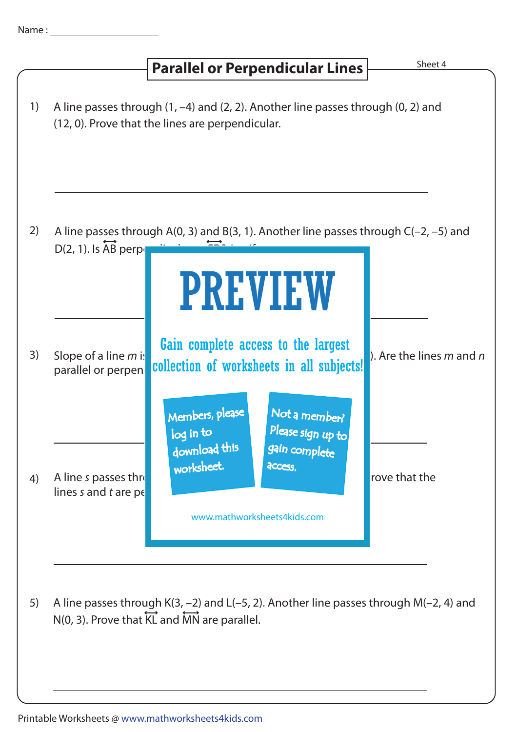## 1) A line passes through (1, –4) and (2, 2). Another line passes through (0, 2) and 2) 3) A line passes through A(0, 3) and B(3, 1). Another line passes through C(–2, –5) and 4) Slope of a line m is  $\frac{1}{2}$  and  $\frac{1}{2}$  and  $\frac{1}{2}$  and  $\frac{1}{2}$ ,  $\frac{1}{2}$ ,  $\frac{1}{2}$ , and  $\frac{1}{2}$ . Are the lines m and n parallel or perpendecular collection of worksheets in all subjects! Sheet 4  $D(2, 1)$ . Is  $\overleftrightarrow{AB}$  perpedicular to  $D(2, 1)$ . A line s passes through (10, 3) and (10, 3) and (10, 6). Slope of a line t is expected to a line that the lines  $s$  and  $t$  are per **Parallel or Perpendicular Lines** (12, 0). Prove that the lines are perpendicular. PREVIEW www.mathworksheets4kids.com Members, please download this worksheet. log in to Not a member? gain complete Please sign up to **access** Gain complete access to the largest

5) A line passes through K(3, –2) and L(–5, 2). Another line passes through M(–2, 4) and  $N(0, 3)$ . Prove that  $\overleftrightarrow{KL}$  and  $\overleftrightarrow{MN}$  are parallel.